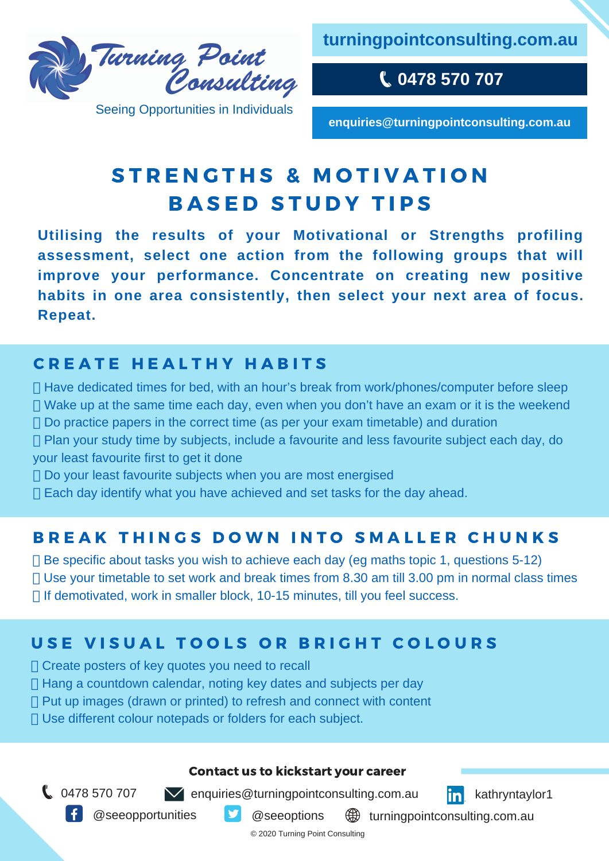

Seeing Opportunities in Individuals

**turningpointconsulting.com.au**

**0478 570 707**

**enquiries@turningpointconsulting.com.au**

# STRENGTHS & MOTIVATION **BASED STUDY TIPS**

**Utilising the results of your Motivational or Strengths profiling assessment, select one action from the following groups that will improve your performance. Concentrate on creating new positive habits in one area consistently, then select your next area of focus. Repeat.**

## **CREATE HEALTHY HABITS**

 $\Box$  Have dedicated times for bed, with an hour's break from work/phones/computer before sleep  $\Box$  Wake up at the same time each day, even when you don't have an exam or it is the weekend  $\Box$  Do practice papers in the correct time (as per your exam timetable) and duration

- $\Box$  Plan your study time by subjects, include a favourite and less favourite subject each day, do your least favourite first to get it done
- $\Box$  Do your least favourite subjects when you are most energised
- $\Box$  Each day identify what you have achieved and set tasks for the day ahead.

#### B R E A K THINGS DOWN INTO SMALLER CHUNKS

 $\Box$  Be specific about tasks you wish to achieve each day (eg maths topic 1, questions 5-12) Use your timetable to set work and break times from 8.30 am till 3.00 pm in normal class times □ If demotivated, work in smaller block, 10-15 minutes, till you feel success.

### USE VISUAL TOOLS OR BRIGHT COLOURS

- Create posters of key quotes you need to recall
- $\Box$  Hang a countdown calendar, noting key dates and subjects per day
- $\Box$  Put up images (drawn or printed) to refresh and connect with content
- □ Use different colour notepads or folders for each subject.

#### Contact us to kickstart your career

 $\bigcup$  0478 570 707  $\bigcup$  enquiries@turningpointconsulting.com.au  $\bigcap$  kathryntaylor1



@seeopportunities <u>5</u> @seeoptions

**\@** turningpointconsulting.com.au

© 2020 Turning Point Consulting